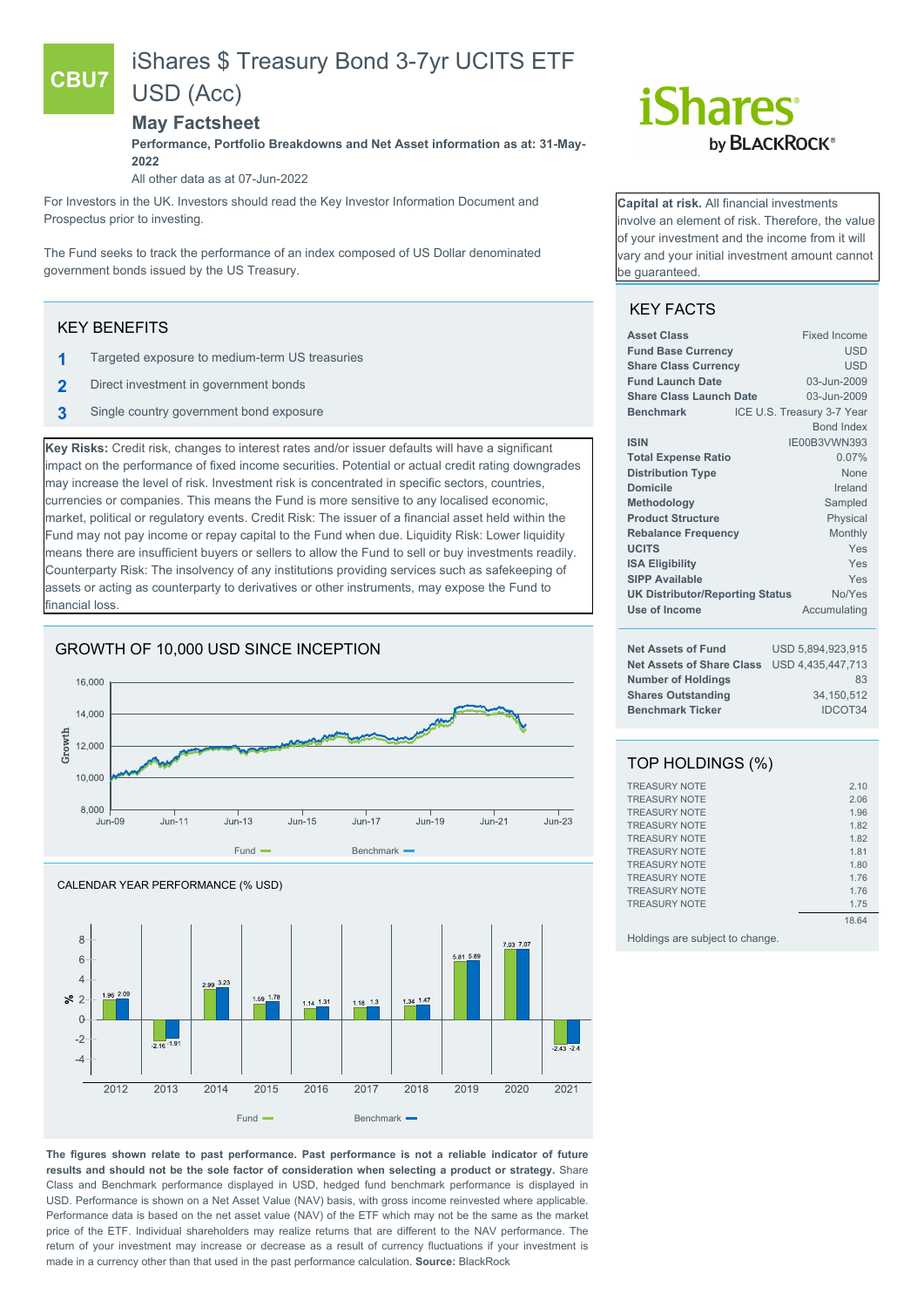# iShares \$ Treasury Bond 3-7yr UCITS ETF

# USD (Acc)

## **May Factsheet**

**Performance, Portfolio Breakdowns and Net Asset information as at: 31-May-2022**

All other data as at 07-Jun-2022

For Investors in the UK. Investors should read the Key Investor Information Document and Prospectus prior to investing.

The Fund seeks to track the performance of an index composed of US Dollar denominated government bonds issued by the US Treasury.

## KEY BENEFITS

**CBU7**

- **1** Targeted exposure to medium-term US treasuries
- **2** Direct investment in government bonds
- **3** Single country government bond exposure

**Key Risks:** Credit risk, changes to interest rates and/or issuer defaults will have a significant impact on the performance of fixed income securities. Potential or actual credit rating downgrades may increase the level of risk. Investment risk is concentrated in specific sectors, countries, currencies or companies. This means the Fund is more sensitive to any localised economic, market, political or regulatory events. Credit Risk: The issuer of a financial asset held within the Fund may not pay income or repay capital to the Fund when due. Liquidity Risk: Lower liquidity means there are insufficient buyers or sellers to allow the Fund to sell or buy investments readily. Counterparty Risk: The insolvency of any institutions providing services such as safekeeping of assets or acting as counterparty to derivatives or other instruments, may expose the Fund to financial loss.

## GROWTH OF 10,000 USD SINCE INCEPTION





**The figures shown relate to past performance. Past performance is not a reliable indicator of future results and should not be the sole factor of consideration when selecting a product or strategy.** Share Class and Benchmark performance displayed in USD, hedged fund benchmark performance is displayed in USD. Performance is shown on a Net Asset Value (NAV) basis, with gross income reinvested where applicable. Performance data is based on the net asset value (NAV) of the ETF which may not be the same as the market price of the ETF. Individual shareholders may realize returns that are different to the NAV performance. The return of your investment may increase or decrease as a result of currency fluctuations if your investment is made in a currency other than that used in the past performance calculation. **Source:** BlackRock



**Capital at risk.** All financial investments involve an element of risk. Therefore, the value of your investment and the income from it will vary and your initial investment amount cannot be guaranteed.

# KEY FACTS

| <b>Asset Class</b>                     | <b>Fixed Income</b>        |
|----------------------------------------|----------------------------|
| <b>Fund Base Currency</b>              | <b>USD</b>                 |
| <b>Share Class Currency</b>            | <b>USD</b>                 |
| <b>Fund Launch Date</b>                | 03-Jun-2009                |
| <b>Share Class Launch Date</b>         | 03-Jun-2009                |
| <b>Benchmark</b>                       | ICE U.S. Treasury 3-7 Year |
|                                        | <b>Bond Index</b>          |
| <b>ISIN</b>                            | IE00B3VWN393               |
| <b>Total Expense Ratio</b>             | 0.07%                      |
| <b>Distribution Type</b>               | None                       |
| <b>Domicile</b>                        | Ireland                    |
| Methodology                            | Sampled                    |
| <b>Product Structure</b>               | Physical                   |
| <b>Rebalance Frequency</b>             | Monthly                    |
| <b>UCITS</b>                           | Yes                        |
| <b>ISA Eligibility</b>                 | Yes                        |
| <b>SIPP Available</b>                  | Yes                        |
| <b>UK Distributor/Reporting Status</b> | No/Yes                     |
| Use of Income                          | Accumulating               |
| <b>Net Assets of Fund</b>              | USD 5,894,923,915          |

| Net Assets of Fund                          | <u>USD 0.094.920.910</u> |
|---------------------------------------------|--------------------------|
| Net Assets of Share Class USD 4,435,447,713 |                          |
| <b>Number of Holdings</b>                   | 83                       |
| <b>Shares Outstanding</b>                   | 34.150.512               |
| <b>Benchmark Ticker</b>                     | IDCOT34                  |

# TOP HOLDINGS (%)

| 2.10  |
|-------|
| 2.06  |
| 1.96  |
| 1.82  |
| 1.82  |
| 1.81  |
| 1.80  |
| 1.76  |
| 1.76  |
| 1.75  |
| 18.64 |
|       |

Holdings are subject to change.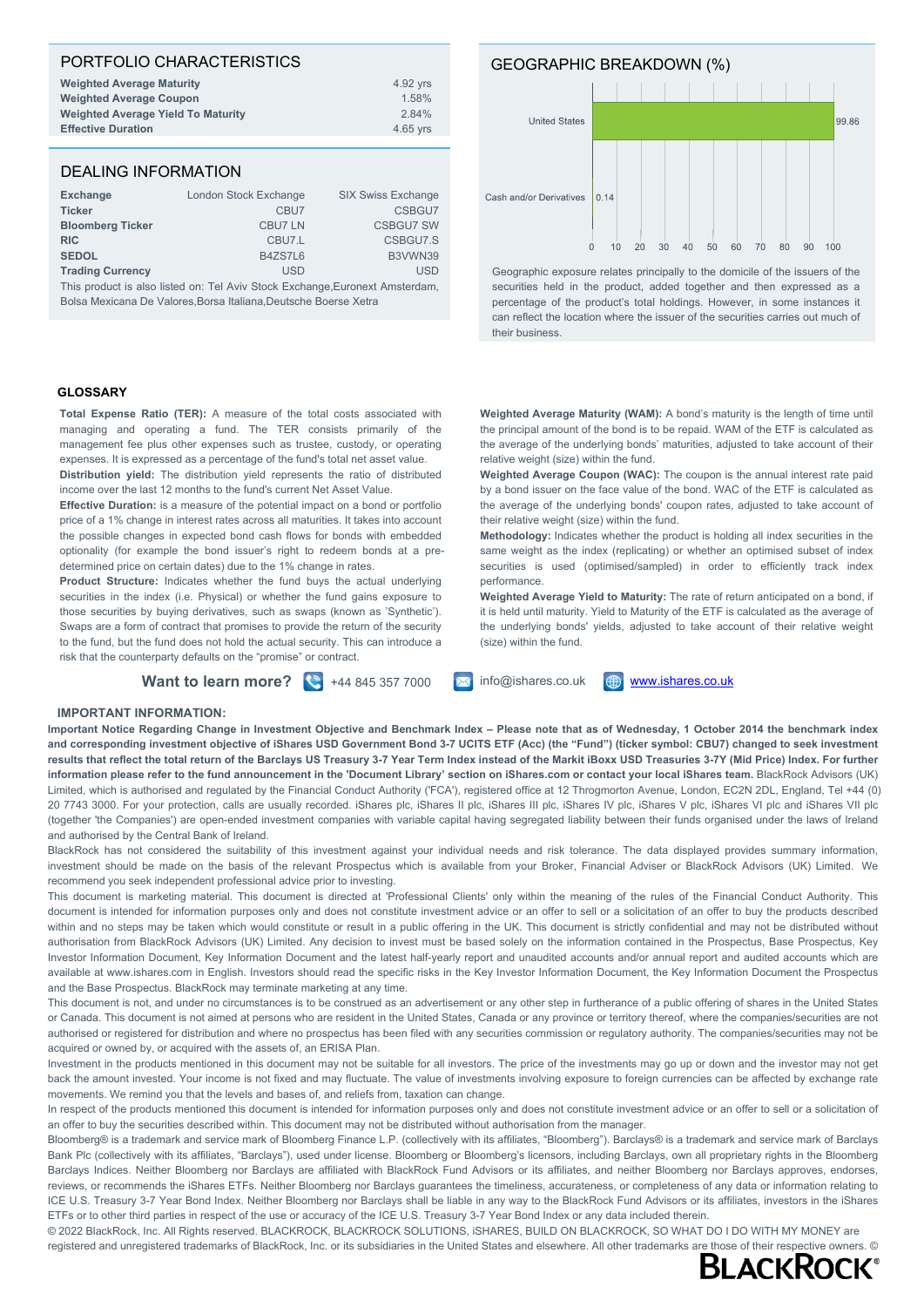### PORTFOLIO CHARACTERISTICS **Weighted Average Maturity** 4.92 yrs **Weighted Average Coupon**<br>
Weighted Average Yield To Maturity<br>
2.84% 2.84% **Weighted Average Yield To Maturity Effective Duration 1.1 and 1.1 and 1.1 and 1.1 and 1.1 and 1.1 and 1.1 and 1.1 and 1.1 and 1.1 and 1.1 and 1.1 and 1.1 and 1.1 and 1.1 and 1.1 and 1.1 and 1.1 and 1.1 and 1.1 and 1.1 and 1.1 and 1.1 and 1.1 and 1.1 and**

## DEALING INFORMATION

| Exchange                | London Stock Exchange | <b>SIX Swiss Exchange</b> |
|-------------------------|-----------------------|---------------------------|
| <b>Ticker</b>           | CBU7                  | CSBGU7                    |
| <b>Bloomberg Ticker</b> | <b>CBU7LN</b>         | <b>CSBGU7 SW</b>          |
| <b>RIC</b>              | CBU7.L                | CSBGU7.S                  |
| <b>SEDOL</b>            | B4ZS7L6               | B3VWN39                   |
| <b>Trading Currency</b> | <b>USD</b>            | <b>USD</b>                |

This product is also listed on: Tel Aviv Stock Exchange,Euronext Amsterdam, Bolsa Mexicana De Valores,Borsa Italiana,Deutsche Boerse Xetra

#### **GLOSSARY**

**Total Expense Ratio (TER):** A measure of the total costs associated with managing and operating a fund. The TER consists primarily of the management fee plus other expenses such as trustee, custody, or operating expenses. It is expressed as a percentage of the fund's total net asset value. **Distribution yield:** The distribution yield represents the ratio of distributed income over the last 12 months to the fund's current Net Asset Value.

**Effective Duration:** is a measure of the potential impact on a bond or portfolio price of a 1% change in interest rates across all maturities. It takes into account the possible changes in expected bond cash flows for bonds with embedded optionality (for example the bond issuer's right to redeem bonds at a predetermined price on certain dates) due to the 1% change in rates.

**Product Structure:** Indicates whether the fund buys the actual underlying securities in the index (i.e. Physical) or whether the fund gains exposure to those securities by buying derivatives, such as swaps (known as 'Synthetic'). Swaps are a form of contract that promises to provide the return of the security to the fund, but the fund does not hold the actual security. This can introduce a risk that the counterparty defaults on the "promise" or contract.

GEOGRAPHIC BREAKDOWN (%) **United States** 99.86 Cash and/or Derivatives  $|0.14$  $10$  $20$  $30^{\circ}$  $40^{\circ}$  $50 60$ 70 80  $90^{\circ}$ 

Geographic exposure relates principally to the domicile of the issuers of the securities held in the product, added together and then expressed as a percentage of the product's total holdings. However, in some instances it can reflect the location where the issuer of the securities carries out much of their business.

 $100$ 

 $\overline{0}$ 

**Weighted Average Maturity (WAM):** A bond's maturity is the length of time until the principal amount of the bond is to be repaid. WAM of the ETF is calculated as the average of the underlying bonds' maturities, adjusted to take account of their relative weight (size) within the fund.

**Weighted Average Coupon (WAC):** The coupon is the annual interest rate paid by a bond issuer on the face value of the bond. WAC of the ETF is calculated as the average of the underlying bonds' coupon rates, adjusted to take account of their relative weight (size) within the fund.

**Methodology:** Indicates whether the product is holding all index securities in the same weight as the index (replicating) or whether an optimised subset of index securities is used (optimised/sampled) in order to efficiently track index performance.

**Weighted Average Yield to Maturity:** The rate of return anticipated on a bond, if it is held until maturity. Yield to Maturity of the ETF is calculated as the average of the underlying bonds' yields, adjusted to take account of their relative weight (size) within the fund.

**Want to learn more?**  $\bullet$  +44 845 357 7000  $\bullet$  info@ishares.co.uk  $\bullet$  [www.ishares.co.uk](http://www.ishares.co.uk)



#### **IMPORTANT INFORMATION:**

**Important Notice Regarding Change in Investment Objective and Benchmark Index – Please note that as of Wednesday, 1 October 2014 the benchmark index and corresponding investment objective of iShares USD Government Bond 3-7 UCITS ETF (Acc) (the "Fund") (ticker symbol: CBU7) changed to seek investment results that reflect the total return of the Barclays US Treasury 3-7 Year Term Index instead of the Markit iBoxx USD Treasuries 3-7Y (Mid Price) Index. For further information please refer to the fund announcement in the 'Document Library' section on iShares.com or contact your local iShares team.** BlackRock Advisors (UK) Limited, which is authorised and regulated by the Financial Conduct Authority ('FCA'), registered office at 12 Throgmorton Avenue, London, EC2N 2DL, England, Tel +44 (0) 20 7743 3000. For your protection, calls are usually recorded. iShares plc, iShares II plc, iShares III plc, iShares IV plc, iShares V plc, iShares VI plc and iShares VII plc (together 'the Companies') are open-ended investment companies with variable capital having segregated liability between their funds organised under the laws of Ireland and authorised by the Central Bank of Ireland.

BlackRock has not considered the suitability of this investment against your individual needs and risk tolerance. The data displayed provides summary information, investment should be made on the basis of the relevant Prospectus which is available from your Broker, Financial Adviser or BlackRock Advisors (UK) Limited. We recommend you seek independent professional advice prior to investing.

This document is marketing material. This document is directed at 'Professional Clients' only within the meaning of the rules of the Financial Conduct Authority. This document is intended for information purposes only and does not constitute investment advice or an offer to sell or a solicitation of an offer to buy the products described within and no steps may be taken which would constitute or result in a public offering in the UK. This document is strictly confidential and may not be distributed without authorisation from BlackRock Advisors (UK) Limited. Any decision to invest must be based solely on the information contained in the Prospectus, Base Prospectus, Key Investor Information Document, Key Information Document and the latest half-yearly report and unaudited accounts and/or annual report and audited accounts which are available at www.ishares.com in English. Investors should read the specific risks in the Key Investor Information Document, the Key Information Document the Prospectus and the Base Prospectus. BlackRock may terminate marketing at any time.

This document is not, and under no circumstances is to be construed as an advertisement or any other step in furtherance of a public offering of shares in the United States or Canada. This document is not aimed at persons who are resident in the United States, Canada or any province or territory thereof, where the companies/securities are not authorised or registered for distribution and where no prospectus has been filed with any securities commission or regulatory authority. The companies/securities may not be acquired or owned by, or acquired with the assets of, an ERISA Plan.

Investment in the products mentioned in this document may not be suitable for all investors. The price of the investments may go up or down and the investor may not get back the amount invested. Your income is not fixed and may fluctuate. The value of investments involving exposure to foreign currencies can be affected by exchange rate movements. We remind you that the levels and bases of, and reliefs from, taxation can change.

In respect of the products mentioned this document is intended for information purposes only and does not constitute investment advice or an offer to sell or a solicitation of an offer to buy the securities described within. This document may not be distributed without authorisation from the manager.

Bloomberg® is a trademark and service mark of Bloomberg Finance L.P. (collectively with its affiliates, "Bloomberg"). Barclays® is a trademark and service mark of Barclays Bank Plc (collectively with its affiliates, "Barclays"), used under license. Bloomberg or Bloomberg's licensors, including Barclays, own all proprietary rights in the Bloomberg Barclays Indices. Neither Bloomberg nor Barclays are affiliated with BlackRock Fund Advisors or its affiliates, and neither Bloomberg nor Barclays approves, endorses, reviews, or recommends the iShares ETFs. Neither Bloomberg nor Barclays quarantees the timeliness, accurateness, or completeness of any data or information relating to ICE U.S. Treasury 3-7 Year Bond Index. Neither Bloomberg nor Barclays shall be liable in any way to the BlackRock Fund Advisors or its affiliates, investors in the iShares ETFs or to other third parties in respect of the use or accuracy of the ICE U.S. Treasury 3-7 Year Bond Index or any data included therein.

© 2022 BlackRock, Inc. All Rights reserved. BLACKROCK, BLACKROCK SOLUTIONS, iSHARES, BUILD ON BLACKROCK, SO WHAT DO I DO WITH MY MONEY are registered and unregistered trademarks of BlackRock, Inc. or its subsidiaries in the United States and elsewhere. All other trademarks are those of their respective owners. ©<br>ELACKROCK®